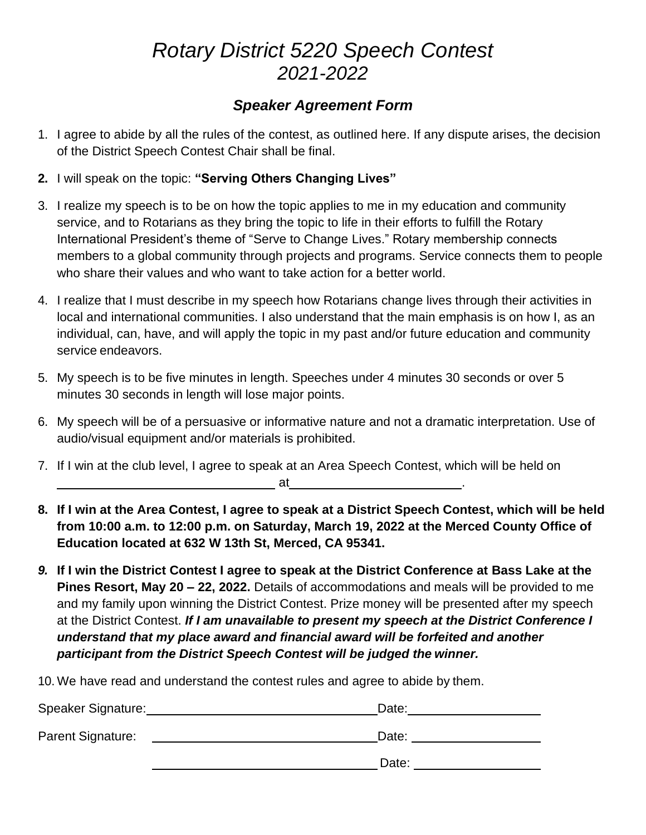## *Rotary District 5220 Speech Contest 2021-2022*

## *Speaker Agreement Form*

- 1. I agree to abide by all the rules of the contest, as outlined here. If any dispute arises, the decision of the District Speech Contest Chair shall be final.
- **2.** I will speak on the topic: **"Serving Others Changing Lives"**
- 3. I realize my speech is to be on how the topic applies to me in my education and community service, and to Rotarians as they bring the topic to life in their efforts to fulfill the Rotary International President's theme of "Serve to Change Lives." Rotary membership connects members to a global community through projects and programs. Service connects them to people who share their values and who want to take action for a better world.
- 4. I realize that I must describe in my speech how Rotarians change lives through their activities in local and international communities. I also understand that the main emphasis is on how I, as an individual, can, have, and will apply the topic in my past and/or future education and community service endeavors.
- 5. My speech is to be five minutes in length. Speeches under 4 minutes 30 seconds or over 5 minutes 30 seconds in length will lose major points.
- 6. My speech will be of a persuasive or informative nature and not a dramatic interpretation. Use of audio/visual equipment and/or materials is prohibited.
- 7. If I win at the club level, I agree to speak at an Area Speech Contest, which will be held on at .
- **8. If I win at the Area Contest, I agree to speak at a District Speech Contest, which will be held from 10:00 a.m. to 12:00 p.m. on Saturday, March 19, 2022 at the Merced County Office of Education located at 632 W 13th St, Merced, CA 95341.**
- *9.* **If I win the District Contest I agree to speak at the District Conference at Bass Lake at the Pines Resort, May 20 – 22, 2022.** Details of accommodations and meals will be provided to me and my family upon winning the District Contest. Prize money will be presented after my speech at the District Contest. *If I am unavailable to present my speech at the District Conference I understand that my place award and financial award will be forfeited and another participant from the District Speech Contest will be judged the winner.*

10. We have read and understand the contest rules and agree to abide by them.

| Speaker Signature: | Date: |
|--------------------|-------|
| Parent Signature:  | Date: |
|                    | Date: |